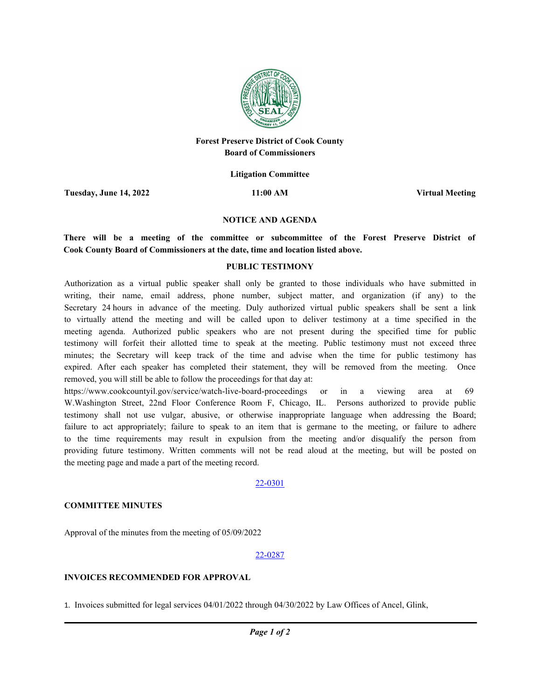

# **Forest Preserve District of Cook County Board of Commissioners**

**Litigation Committee**

**Tuesday, June 14, 2022 11:00 AM Virtual Meeting**

#### **NOTICE AND AGENDA**

**There will be a meeting of the committee or subcommittee of the Forest Preserve District of Cook County Board of Commissioners at the date, time and location listed above.**

#### **PUBLIC TESTIMONY**

Authorization as a virtual public speaker shall only be granted to those individuals who have submitted in writing, their name, email address, phone number, subject matter, and organization (if any) to the Secretary 24 hours in advance of the meeting. Duly authorized virtual public speakers shall be sent a link to virtually attend the meeting and will be called upon to deliver testimony at a time specified in the meeting agenda. Authorized public speakers who are not present during the specified time for public testimony will forfeit their allotted time to speak at the meeting. Public testimony must not exceed three minutes; the Secretary will keep track of the time and advise when the time for public testimony has expired. After each speaker has completed their statement, they will be removed from the meeting. Once removed, you will still be able to follow the proceedings for that day at:

https://www.cookcountyil.gov/service/watch-live-board-proceedings or in a viewing area at 69 W.Washington Street, 22nd Floor Conference Room F, Chicago, IL. Persons authorized to provide public testimony shall not use vulgar, abusive, or otherwise inappropriate language when addressing the Board; failure to act appropriately; failure to speak to an item that is germane to the meeting, or failure to adhere to the time requirements may result in expulsion from the meeting and/or disqualify the person from providing future testimony. Written comments will not be read aloud at the meeting, but will be posted on the meeting page and made a part of the meeting record.

# 22-0301

# **COMMITTEE MINUTES**

Approval of the minutes from the meeting of 05/09/2022

# 22-0287

# **INVOICES RECOMMENDED FOR APPROVAL**

1. Invoices submitted for legal services 04/01/2022 through 04/30/2022 by Law Offices of Ancel, Glink,